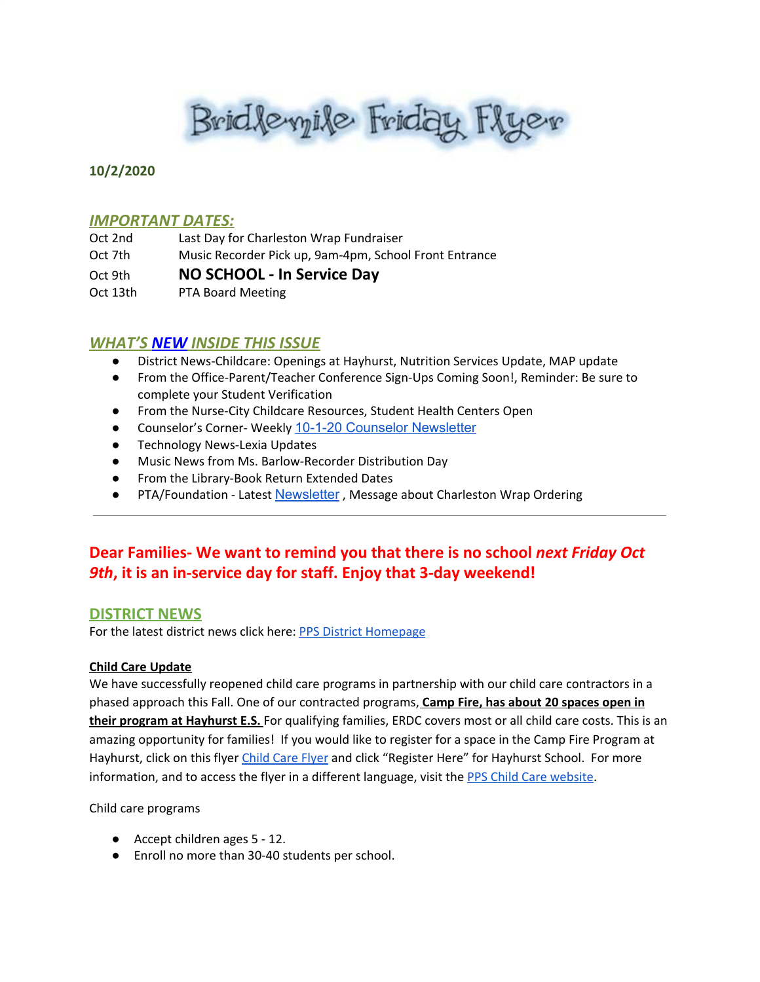Brid levyile Friday Flyer

### **10/2/2020**

#### *IMPORTANT DATES:*

| Oct 2nd  | Last Day for Charleston Wrap Fundraiser                |
|----------|--------------------------------------------------------|
| Oct 7th  | Music Recorder Pick up, 9am-4pm, School Front Entrance |
| Oct 9th  | NO SCHOOL - In Service Day                             |
| Oct 13th | <b>PTA Board Meeting</b>                               |

# *WHAT'S NEW INSIDE THIS ISSUE*

- District News-Childcare: Openings at Hayhurst, Nutrition Services Update, MAP update
- From the Office-Parent/Teacher Conference Sign-Ups Coming Soon!, Reminder: Be sure to complete your Student Verification
- From the Nurse-City Childcare Resources, Student Health Centers Open
- Counselor's Corner- Weekly 10-1-20 Counselor [Newsletter](https://docs.google.com/document/d/1qalWBYPwt5GnAMbgANUBK3hIAcb3p9YIJPW7i3C3IU8/edit?usp=sharing)
- Technology News-Lexia Updates
- Music News from Ms. Barlow-Recorder Distribution Day
- From the Library-Book Return Extended Dates
- PTA/Foundation Latest [Newsletter](https://docs.google.com/document/d/e/2PACX-1vQlZCPHtKxqO7qpJwiwgoeaZ1ERHVLgg6z0JNYJMTulwn7xlOVY_X2I1ZV9nntsGHP57LEZ_uSufaFj/pub), Message about Charleston Wrap Ordering

# **Dear Families- We want to remind you that there is no school** *next Friday Oct 9th***, it is an in-service day for staff. Enjoy that 3-day weekend!**

#### **DISTRICT NEWS**

For the latest district news click here: PPS District [Homepage](https://www.pps.net/portland)

#### **Child Care Update**

We have successfully reopened child care programs in partnership with our child care contractors in a phased approach this Fall. One of our contracted programs, **Camp Fire, has about 20 spaces open in their program at Hayhurst E.S.** For qualifying families, ERDC covers most or all child care costs. This is an amazing opportunity for families! If you would like to register for a space in the Camp Fire Program at Hayhurst, click on this flyer [Child](https://www.pps.net//cms/lib/OR01913224/Centricity/Domain/184/CDLChildCareFlyerEnglish.pdf) Care Flyer and click "Register Here" for Hayhurst School. For more information, and to access the flyer in a different language, visit the PPS Child Care [website](https://www.pps.net/Domain/184).

Child care programs

- Accept children ages 5 12.
- Enroll no more than 30-40 students per school.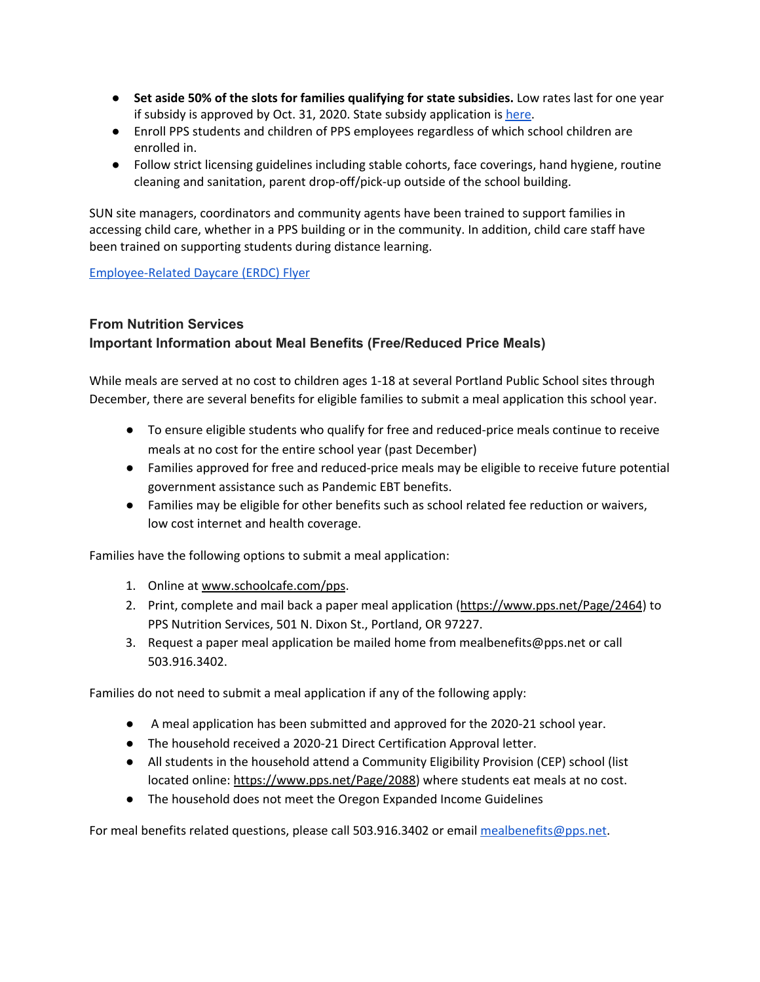- **Set aside 50% of the slots for families qualifying for state subsidies.** Low rates last for one year if subsidy is approved by Oct. 31, 2020. State subsidy application is [here](https://sharedsystems.dhsoha.state.or.us/DHSForms/Served/de7476.pdf).
- Enroll PPS students and children of PPS employees regardless of which school children are enrolled in.
- Follow strict licensing guidelines including stable cohorts, face coverings, hand hygiene, routine cleaning and sanitation, parent drop-off/pick-up outside of the school building.

SUN site managers, coordinators and community agents have been trained to support families in accessing child care, whether in a PPS building or in the community. In addition, child care staff have been trained on supporting students during distance learning.

[Employee-Related](https://drive.google.com/file/d/1YEHnRuTSRYBYechbRgTSIYkDTM-8kSXp/view?usp=sharing) Daycare (ERDC) Flyer

# **From Nutrition Services Important Information about Meal Benefits (Free/Reduced Price Meals)**

While meals are served at no cost to children ages 1-18 at several Portland Public School sites through December, there are several benefits for eligible families to submit a meal application this school year.

- To ensure eligible students who qualify for free and reduced-price meals continue to receive meals at no cost for the entire school year (past December)
- Families approved for free and reduced-price meals may be eligible to receive future potential government assistance such as Pandemic EBT benefits.
- Families may be eligible for other benefits such as school related fee reduction or waivers, low cost internet and health coverage.

Families have the following options to submit a meal application:

- 1. Online at [www.schoolcafe.com/pps](http://www.schoolcafe.com/pps).
- 2. Print, complete and mail back a paper meal application ([https://www.pps.net/Page/2464\)](https://www.pps.net/Page/2464) to PPS Nutrition Services, 501 N. Dixon St., Portland, OR 97227.
- 3. Request a paper meal application be mailed home from mealbenefits@pps.net or call 503.916.3402.

Families do not need to submit a meal application if any of the following apply:

- A meal application has been submitted and approved for the 2020-21 school year.
- The household received a 2020-21 Direct Certification Approval letter.
- All students in the household attend a Community Eligibility Provision (CEP) school (list located online: <https://www.pps.net/Page/2088>) where students eat meals at no cost.
- The household does not meet the Oregon Expanded Income Guidelines

For meal benefits related questions, please call 503.916.3402 or email [mealbenefits@pps.net](mailto:mealbenefits@pps.net).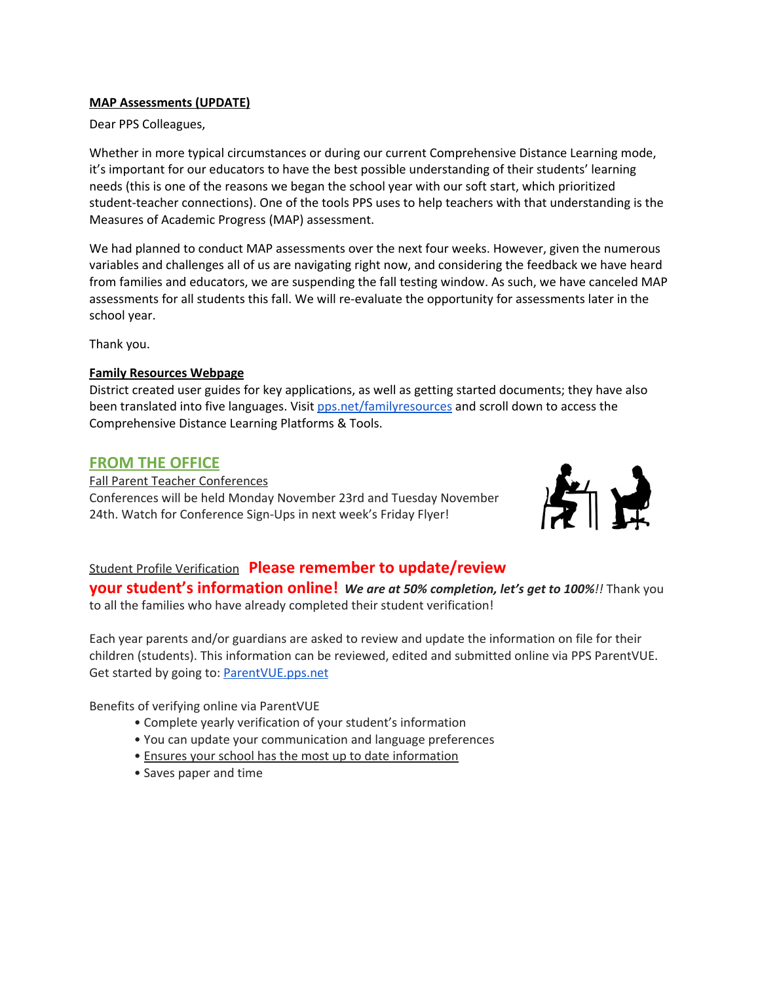#### **MAP Assessments (UPDATE)**

Dear PPS Colleagues,

Whether in more typical circumstances or during our current Comprehensive Distance Learning mode, it's important for our educators to have the best possible understanding of their students' learning needs (this is one of the reasons we began the school year with our soft start, which prioritized student-teacher connections). One of the tools PPS uses to help teachers with that understanding is the Measures of Academic Progress (MAP) assessment.

We had planned to conduct MAP assessments over the next four weeks. However, given the numerous variables and challenges all of us are navigating right now, and considering the feedback we have heard from families and educators, we are suspending the fall testing window. As such, we have canceled MAP assessments for all students this fall. We will re-evaluate the opportunity for assessments later in the school year.

Thank you.

#### **Family Resources Webpage**

District created user guides for key applications, as well as getting started documents; they have also been translated into five languages. Visit [pps.net/familyresources](http://pps.net/familyresources) and scroll down to access the Comprehensive Distance Learning Platforms & Tools.

## **FROM THE OFFICE**

Fall Parent Teacher Conferences Conferences will be held Monday November 23rd and Tuesday November 24th. Watch for Conference Sign-Ups in next week's Friday Flyer!



# Student Profile Verification **Please remember to update/review**

**your student's information online!** *We are at 50% completion, let's get to 100%!!* Thank you to all the families who have already completed their student verification!

Each year parents and/or guardians are asked to review and update the information on file for their children (students). This information can be reviewed, edited and submitted online via PPS ParentVUE. Get started by going to: **[ParentVUE.pps.net](https://www.pps.net/Page/2341)** 

Benefits of verifying online via ParentVUE

- Complete yearly verification of your student's information
- You can update your communication and language preferences
- Ensures your school has the most up to date information
- Saves paper and time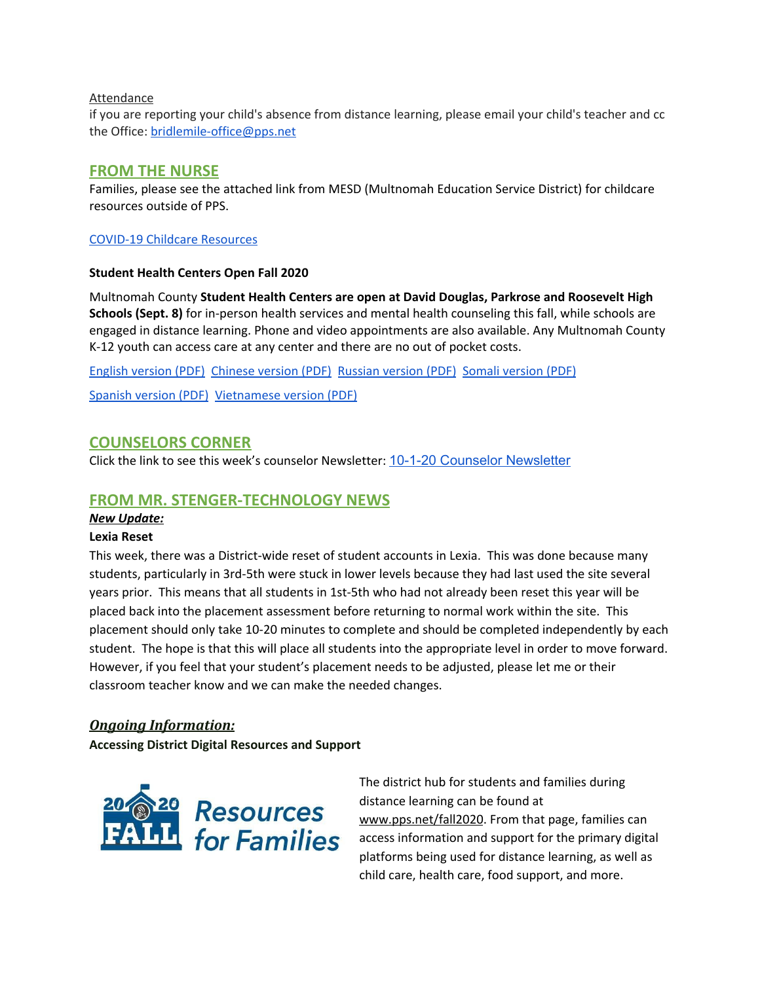#### Attendance

if you are reporting your child's absence from distance learning, please email your child's teacher and cc the Office: [bridlemile-office@pps.net](mailto:bridlemile-office@pps.net)

## **FROM THE NURSE**

Families, please see the attached link from MESD (Multnomah Education Service District) for childcare resources outside of PPS.

#### COVID-19 Childcare [Resources](https://www.multnomahesd.org/covid-child-care.html)

#### **Student Health Centers Open Fall 2020**

Multnomah County **Student Health Centers are open at David Douglas, Parkrose and Roosevelt High Schools (Sept. 8)** for in-person health services and mental health counseling this fall, while schools are engaged in distance learning. Phone and video appointments are also available. Any Multnomah County K-12 youth can access care at any center and there are no out of pocket costs.

English [version](https://www.multnomahesd.org/uploads/1/2/0/2/120251715/shc_open_consolidated_fall_2020.pdf) (PDF) [Chinese](https://www.multnomahesd.org/uploads/1/2/0/2/120251715/shc_consolidated_chinese_open_fall_2020.pdf) version (PDF) [Russian](https://www.multnomahesd.org/uploads/1/2/0/2/120251715/shc_consolidated_russian_open_fall_2020.pdf) version (PDF) Somali [version](https://www.multnomahesd.org/uploads/1/2/0/2/120251715/shc_consolidated_somali_open_fall_2020.pdf) (PDF)

[Spanish](https://www.multnomahesd.org/uploads/1/2/0/2/120251715/shc_consolidated_spanish_open_fall_2020.pdf) version (PDF) [Vietnamese](https://www.multnomahesd.org/uploads/1/2/0/2/120251715/shc_consolidated_vietnamese_open_fall_2020.pdf) version (PDF)

## **COUNSELORS CORNER**

Click the link to see this week's counselor Newsletter: 10-1-20 Counselor [Newsletter](https://docs.google.com/document/d/1qalWBYPwt5GnAMbgANUBK3hIAcb3p9YIJPW7i3C3IU8/edit?usp=sharing)

## **FROM MR. STENGER-TECHNOLOGY NEWS**

#### *New Update:*

#### **Lexia Reset**

This week, there was a District-wide reset of student accounts in Lexia. This was done because many students, particularly in 3rd-5th were stuck in lower levels because they had last used the site several years prior. This means that all students in 1st-5th who had not already been reset this year will be placed back into the placement assessment before returning to normal work within the site. This placement should only take 10-20 minutes to complete and should be completed independently by each student. The hope is that this will place all students into the appropriate level in order to move forward. However, if you feel that your student's placement needs to be adjusted, please let me or their classroom teacher know and we can make the needed changes.

#### *Ongoing Information:*

**Accessing District Digital Resources and Support**



The district hub for students and families during distance learning can be found at [www.pps.net/fall2020](http://www.pps.net/fall2020). From that page, families can access information and support for the primary digital platforms being used for distance learning, as well as child care, health care, food support, and more.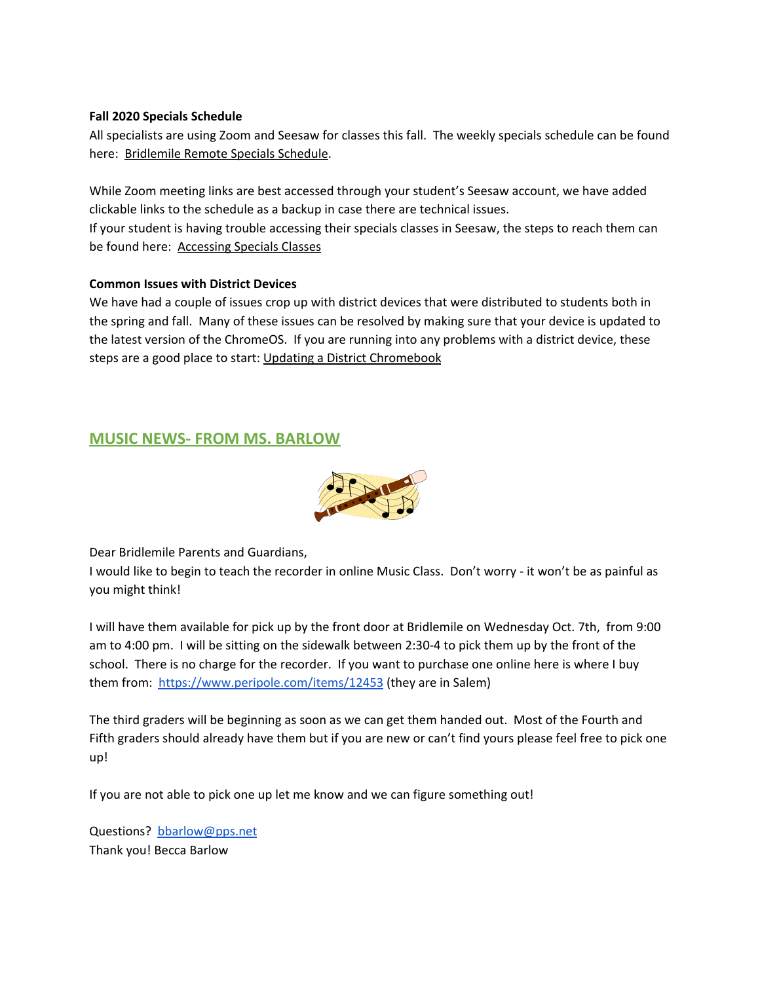#### **Fall 2020 Specials Schedule**

All specialists are using Zoom and Seesaw for classes this fall. The weekly specials schedule can be found here: [Bridlemile](https://docs.google.com/presentation/u/0/d/1UpxJmJgHC2S7KyxMdvI9Bt4agZp4N3qqbH-Yk6qvPD0/edit) Remote Specials Schedule.

While Zoom meeting links are best accessed through your student's Seesaw account, we have added clickable links to the schedule as a backup in case there are technical issues. If your student is having trouble accessing their specials classes in Seesaw, the steps to reach them can be found here: [Accessing](https://docs.google.com/presentation/u/0/d/1QqvQH5Xm7Sux5AjzWLkiq7Kt_gxhKoYQ3tH7t95vJQk/edit) Specials Classes

#### **Common Issues with District Devices**

We have had a couple of issues crop up with district devices that were distributed to students both in the spring and fall. Many of these issues can be resolved by making sure that your device is updated to the latest version of the ChromeOS. If you are running into any problems with a district device, these steps are a good place to start: Updating a District [Chromebook](https://docs.google.com/document/d/1-XrznKLtkIYGYiFqzRECej-_Arzs0vIDfr5faAbrG6g/preview)

# **MUSIC NEWS- FROM MS. BARLOW**



Dear Bridlemile Parents and Guardians,

I would like to begin to teach the recorder in online Music Class. Don't worry - it won't be as painful as you might think!

I will have them available for pick up by the front door at Bridlemile on Wednesday Oct. 7th, from 9:00 am to 4:00 pm. I will be sitting on the sidewalk between 2:30-4 to pick them up by the front of the school. There is no charge for the recorder. If you want to purchase one online here is where I buy them from: <https://www.peripole.com/items/12453> (they are in Salem)

The third graders will be beginning as soon as we can get them handed out. Most of the Fourth and Fifth graders should already have them but if you are new or can't find yours please feel free to pick one up!

If you are not able to pick one up let me know and we can figure something out!

Questions? [bbarlow@pps.net](mailto:bbarlow@pps.net) Thank you! Becca Barlow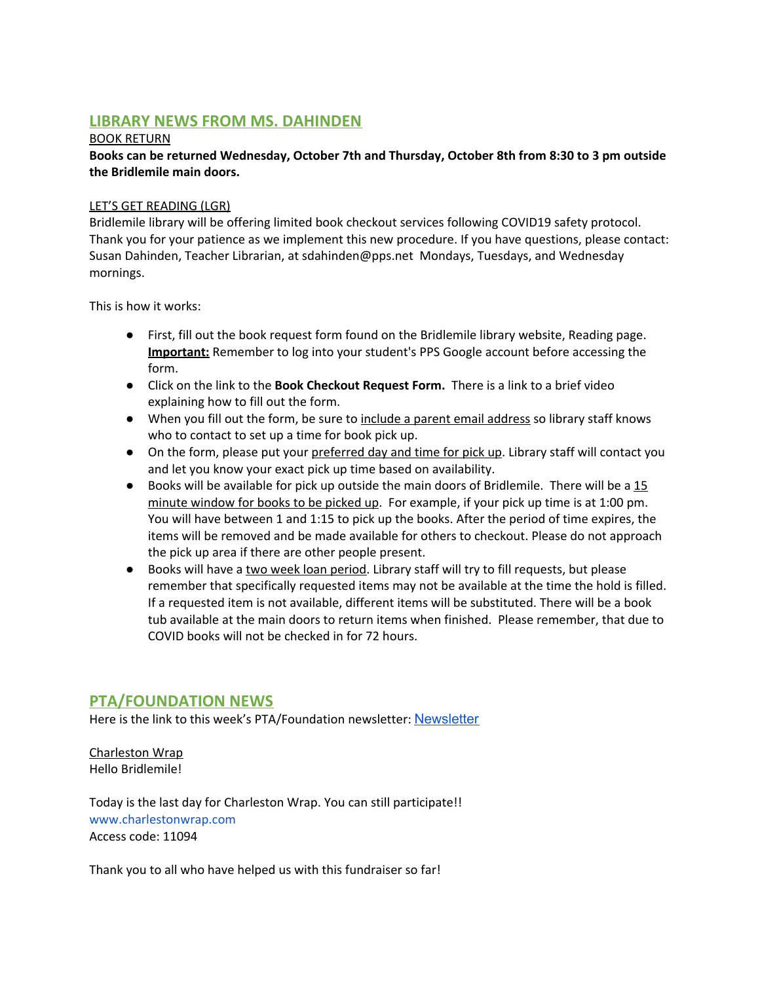# **LIBRARY NEWS FROM MS. DAHINDEN**

#### BOOK RETURN

**Books can be returned Wednesday, October 7th and Thursday, October 8th from 8:30 to 3 pm outside the Bridlemile main doors.**

#### LET'S GET READING (LGR)

Bridlemile library will be offering limited book checkout services following COVID19 safety protocol. Thank you for your patience as we implement this new procedure. If you have questions, please contact: Susan Dahinden, Teacher Librarian, at sdahinden@pps.net Mondays, Tuesdays, and Wednesday mornings.

This is how it works:

- First, fill out the book request form found on the Bridlemile library website, Reading page. **Important:** Remember to log into your student's PPS Google account before accessing the form.
- Click on the link to the **Book Checkout Request Form.** There is a link to a brief video explaining how to fill out the form.
- When you fill out the form, be sure to include a parent email address so library staff knows who to contact to set up a time for book pick up.
- On the form, please put your preferred day and time for pick up. Library staff will contact you and let you know your exact pick up time based on availability.
- Books will be available for pick up outside the main doors of Bridlemile. There will be a 15 minute window for books to be picked up. For example, if your pick up time is at 1:00 pm. You will have between 1 and 1:15 to pick up the books. After the period of time expires, the items will be removed and be made available for others to checkout. Please do not approach the pick up area if there are other people present.
- Books will have a two week loan period. Library staff will try to fill requests, but please remember that specifically requested items may not be available at the time the hold is filled. If a requested item is not available, different items will be substituted. There will be a book tub available at the main doors to return items when finished. Please remember, that due to COVID books will not be checked in for 72 hours.

## **PTA/FOUNDATION NEWS**

Here is the link to this week's PTA/Foundation newsletter: [Newsletter](https://docs.google.com/document/d/e/2PACX-1vQlZCPHtKxqO7qpJwiwgoeaZ1ERHVLgg6z0JNYJMTulwn7xlOVY_X2I1ZV9nntsGHP57LEZ_uSufaFj/pub)

Charleston Wrap Hello Bridlemile!

Today is the last day for Charleston Wrap. You can still participate!! [www.charlestonwrap.com](http://www.charlestonwrap.com/) Access code: 11094

Thank you to all who have helped us with this fundraiser so far!